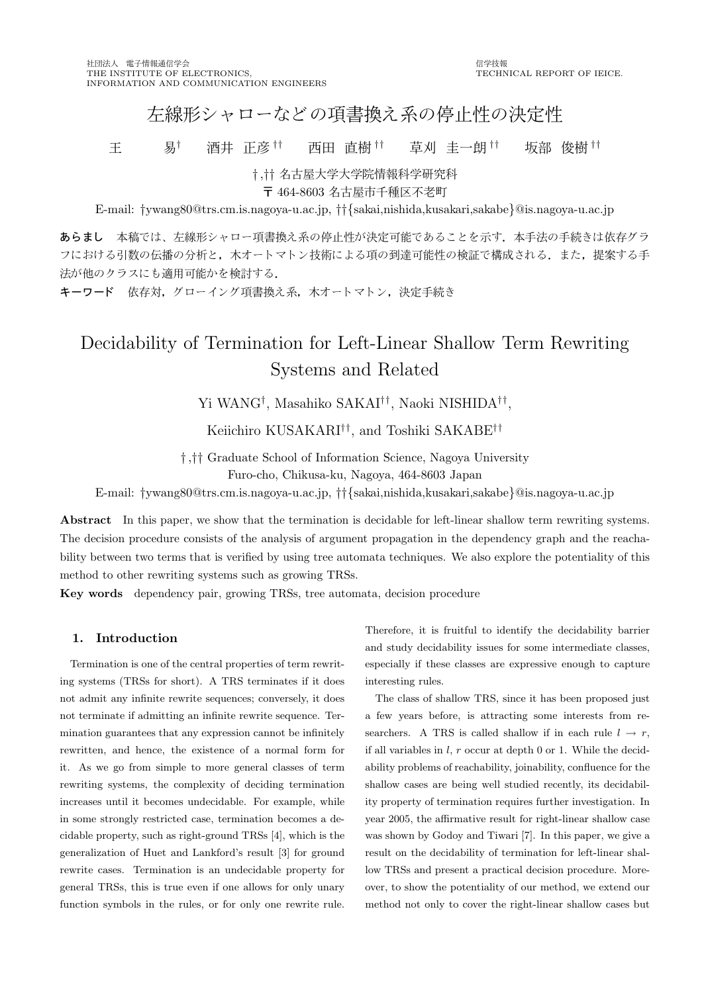# 左線形シャローなどの項書換え系の停止性の決定性

王 易† 酒井 正彦 †† 西田 直樹 †† 草刈 圭一朗 †† 坂部 俊樹 ††

† ,†† 名古屋大学大学院 情報科学研究 <sup>科</sup>

〒 464-8603 名古屋市千種区不老町

E-mail: †ywang80@trs.cm.is.nagoya-u.ac.jp, ††{sakai,nishida,kusakari,sakabe}@is.nagoya-u.ac.jp

あらまし 本稿では、左線形シャロー項書換え系の停止性が決定可能であることを示す。本手法の手続きは依存グラ フにおける引数の伝播の分析と、木オートマトン技術による項の到達可能性の検証で構成される、また、提案する手 法が他のクラスにも適用可能かを検討する.

キーワード 依存対, グローイング項書換え系, 木オートマトン, 決定手続き

# Decidability of Termination for Left-Linear Shallow Term Rewriting Systems and Related

Yi WANG† , Masahiko SAKAI†† , Naoki NISHIDA†† ,

Keiichiro KUSAKARI†† , and Toshiki SAKABE††

† ,†† Graduate School of Information Science, Nagoya University

Furo-cho, Chikusa-ku, Nagoya, 464-8603 Japan

E-mail: †ywang80@trs.cm.is.nagoya-u.ac.jp, ††{sakai,nishida,kusakari,sakabe}@is.nagoya-u.ac.jp

Abstract In this paper, we show that the termination is decidable for left-linear shallow term rewriting systems. The decision procedure consists of the analysis of argument propagation in the dependency graph and the reachability between two terms that is verified by using tree automata techniques. We also explore the potentiality of this method to other rewriting systems such as growing TRSs.

Key words dependency pair, growing TRSs, tree automata, decision procedure

# 1. Introduction

Termination is one of the central properties of term rewriting systems (TRSs for short). A TRS terminates if it does not admit any infinite rewrite sequences; conversely, it does not terminate if admitting an infinite rewrite sequence. Termination guarantees that any expression cannot be infinitely rewritten, and hence, the existence of a normal form for it. As we go from simple to more general classes of term rewriting systems, the complexity of deciding termination increases until it becomes undecidable. For example, while in some strongly restricted case, termination becomes a decidable property, such as right-ground TRSs [4], which is the generalization of Huet and Lankford's result [3] for ground rewrite cases. Termination is an undecidable property for general TRSs, this is true even if one allows for only unary function symbols in the rules, or for only one rewrite rule. Therefore, it is fruitful to identify the decidability barrier and study decidability issues for some intermediate classes, especially if these classes are expressive enough to capture interesting rules.

The class of shallow TRS, since it has been proposed just a few years before, is attracting some interests from researchers. A TRS is called shallow if in each rule  $l \rightarrow r$ , if all variables in  $l, r$  occur at depth 0 or 1. While the decidability problems of reachability, joinability, confluence for the shallow cases are being well studied recently, its decidability property of termination requires further investigation. In year 2005, the affirmative result for right-linear shallow case was shown by Godoy and Tiwari [7]. In this paper, we give a result on the decidability of termination for left-linear shallow TRSs and present a practical decision procedure. Moreover, to show the potentiality of our method, we extend our method not only to cover the right-linear shallow cases but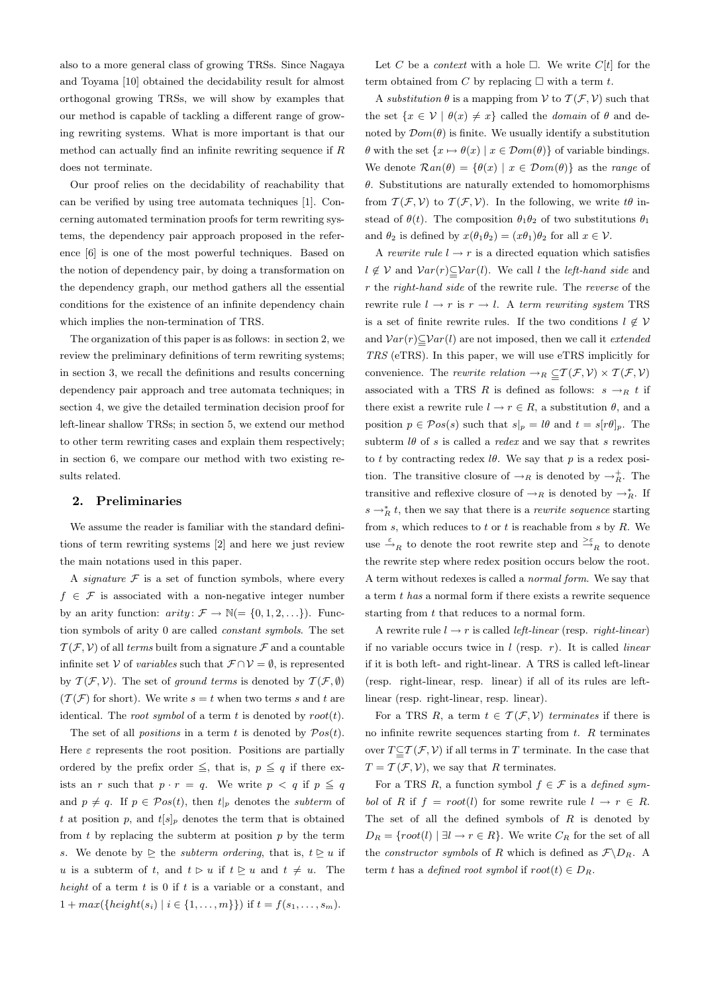also to a more general class of growing TRSs. Since Nagaya and Toyama [10] obtained the decidability result for almost orthogonal growing TRSs, we will show by examples that our method is capable of tackling a different range of growing rewriting systems. What is more important is that our method can actually find an infinite rewriting sequence if R does not terminate.

Our proof relies on the decidability of reachability that can be verified by using tree automata techniques [1]. Concerning automated termination proofs for term rewriting systems, the dependency pair approach proposed in the reference [6] is one of the most powerful techniques. Based on the notion of dependency pair, by doing a transformation on the dependency graph, our method gathers all the essential conditions for the existence of an infinite dependency chain which implies the non-termination of TRS.

The organization of this paper is as follows: in section 2, we review the preliminary definitions of term rewriting systems; in section 3, we recall the definitions and results concerning dependency pair approach and tree automata techniques; in section 4, we give the detailed termination decision proof for left-linear shallow TRSs; in section 5, we extend our method to other term rewriting cases and explain them respectively; in section 6, we compare our method with two existing results related.

#### 2. Preliminaries

We assume the reader is familiar with the standard definitions of term rewriting systems [2] and here we just review the main notations used in this paper.

A *signature*  $F$  is a set of function symbols, where every  $f \in \mathcal{F}$  is associated with a non-negative integer number by an arity function:  $arity \colon \mathcal{F} \to \mathbb{N} = \{0, 1, 2, \ldots\}$ . Function symbols of arity 0 are called constant symbols. The set  $\mathcal{T}(\mathcal{F}, \mathcal{V})$  of all terms built from a signature  $\mathcal F$  and a countable infinite set V of variables such that  $\mathcal{F} \cap \mathcal{V} = \emptyset$ , is represented by  $T(\mathcal{F}, \mathcal{V})$ . The set of ground terms is denoted by  $T(\mathcal{F}, \emptyset)$  $(\mathcal{T}(\mathcal{F})$  for short). We write  $s = t$  when two terms s and t are identical. The *root symbol* of a term  $t$  is denoted by  $root(t)$ .

The set of all *positions* in a term t is denoted by  $Pos(t)$ . Here  $\varepsilon$  represents the root position. Positions are partially ordered by the prefix order  $\leq$ , that is,  $p \leq q$  if there exists an r such that  $p \cdot r = q$ . We write  $p < q$  if  $p \leq q$ and  $p \neq q$ . If  $p \in \mathcal{P}os(t)$ , then  $t|_p$  denotes the subterm of t at position p, and  $t[s]_p$  denotes the term that is obtained from  $t$  by replacing the subterm at position  $p$  by the term s. We denote by  $\geq$  the *subterm ordering*, that is,  $t \geq u$  if u is a subterm of t, and  $t \geq u$  if  $t \geq u$  and  $t \neq u$ . The height of a term  $t$  is 0 if  $t$  is a variable or a constant, and  $1 + max({height(s_i) | i \in \{1, ..., m\}})$  if  $t = f(s_1, ..., s_m)$ .

Let C be a *context* with a hole  $\Box$ . We write C[t] for the term obtained from C by replacing  $\Box$  with a term t.

A substitution  $\theta$  is a mapping from  $\mathcal V$  to  $\mathcal T(\mathcal F, \mathcal V)$  such that the set  $\{x \in \mathcal{V} \mid \theta(x) \neq x\}$  called the *domain* of  $\theta$  and denoted by  $\mathcal{D}om(\theta)$  is finite. We usually identify a substitution  $\theta$  with the set  $\{x \mapsto \theta(x) \mid x \in \mathcal{D}om(\theta)\}\$  of variable bindings. We denote  $\mathcal{R}an(\theta) = {\theta(x) | x \in \mathcal{D}om(\theta)}$  as the *range* of  $\theta$ . Substitutions are naturally extended to homomorphisms from  $\mathcal{T}(\mathcal{F}, \mathcal{V})$  to  $\mathcal{T}(\mathcal{F}, \mathcal{V})$ . In the following, we write  $t\theta$  instead of  $\theta(t)$ . The composition  $\theta_1\theta_2$  of two substitutions  $\theta_1$ and  $\theta_2$  is defined by  $x(\theta_1\theta_2) = (x\theta_1)\theta_2$  for all  $x \in \mathcal{V}$ .

A rewrite rule  $l \rightarrow r$  is a directed equation which satisfies  $l \notin V$  and  $Var(r) \subseteq Var(l)$ . We call l the *left-hand side* and r the right-hand side of the rewrite rule. The reverse of the rewrite rule  $l \rightarrow r$  is  $r \rightarrow l$ . A term rewriting system TRS is a set of finite rewrite rules. If the two conditions  $l \notin \mathcal{V}$ and  $Var(r) \subseteq Var(l)$  are not imposed, then we call it *extended* TRS (eTRS). In this paper, we will use eTRS implicitly for convenience. The *rewrite relation*  $\rightarrow_R \subseteq T(\mathcal{F}, \mathcal{V}) \times T(\mathcal{F}, \mathcal{V})$ associated with a TRS R is defined as follows:  $s \rightarrow_R t$  if there exist a rewrite rule  $l \to r \in R$ , a substitution  $\theta$ , and a position  $p \in \mathcal{P}os(s)$  such that  $s|_p = l\theta$  and  $t = s[r\theta]_p$ . The subterm  $l\theta$  of s is called a *redex* and we say that s rewrites to t by contracting redex  $l\theta$ . We say that p is a redex position. The transitive closure of  $\rightarrow_R$  is denoted by  $\rightarrow_R^+$ . The transitive and reflexive closure of  $\rightarrow_R$  is denoted by  $\rightarrow_R^*$ . If  $s \rightarrow_R^* t$ , then we say that there is a *rewrite sequence* starting from  $s$ , which reduces to  $t$  or  $t$  is reachable from  $s$  by  $R$ . We use  $\stackrel{\varepsilon}{\to}_R$  to denote the root rewrite step and  $\stackrel{\varepsilon}{\to}_R$  to denote the rewrite step where redex position occurs below the root. A term without redexes is called a normal form. We say that a term t has a normal form if there exists a rewrite sequence starting from  $t$  that reduces to a normal form.

A rewrite rule  $l \rightarrow r$  is called *left-linear* (resp. *right-linear*) if no variable occurs twice in  $l$  (resp.  $r$ ). It is called *linear* if it is both left- and right-linear. A TRS is called left-linear (resp. right-linear, resp. linear) if all of its rules are leftlinear (resp. right-linear, resp. linear).

For a TRS R, a term  $t \in \mathcal{T}(\mathcal{F}, \mathcal{V})$  terminates if there is no infinite rewrite sequences starting from  $t$ .  $R$  terminates over  $T \subseteq T(\mathcal{F}, \mathcal{V})$  if all terms in T terminate. In the case that  $T = \mathcal{T}(\mathcal{F}, \mathcal{V})$ , we say that R terminates.

For a TRS R, a function symbol  $f \in \mathcal{F}$  is a defined symbol of R if  $f = root(l)$  for some rewrite rule  $l \rightarrow r \in R$ . The set of all the defined symbols of  $R$  is denoted by  $D_R = \{root(l) | \exists l \rightarrow r \in R\}$ . We write  $C_R$  for the set of all the *constructor symbols* of R which is defined as  $\mathcal{F}\backslash D_R$ . A term t has a defined root symbol if  $root(t) \in D_R$ .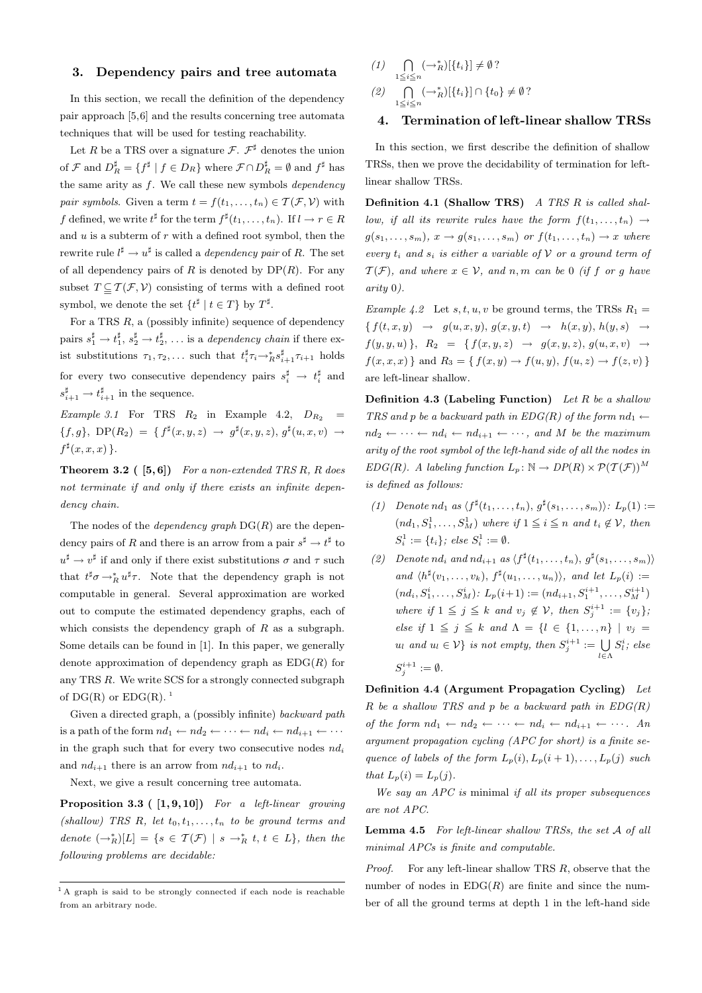## 3. Dependency pairs and tree automata

In this section, we recall the definition of the dependency pair approach [5,6] and the results concerning tree automata techniques that will be used for testing reachability.

Let R be a TRS over a signature  $\mathcal{F}$ .  $\mathcal{F}^{\sharp}$  denotes the union of  $\mathcal{F}$  and  $D_R^{\sharp} = \{ f^{\sharp} \mid f \in D_R \}$  where  $\mathcal{F} \cap D_R^{\sharp} = \emptyset$  and  $f^{\sharp}$  has the same arity as  $f$ . We call these new symbols *dependency pair symbols.* Given a term  $t = f(t_1, \ldots, t_n) \in \mathcal{T}(\mathcal{F}, \mathcal{V})$  with f defined, we write  $t^{\sharp}$  for the term  $f^{\sharp}(t_1,\ldots,t_n)$ . If  $l \to r \in R$ and  $u$  is a subterm of  $r$  with a defined root symbol, then the rewrite rule  $l^{\sharp} \to u^{\sharp}$  is called a *dependency pair* of R. The set of all dependency pairs of R is denoted by  $DP(R)$ . For any subset  $T \subseteq T(\mathcal{F}, \mathcal{V})$  consisting of terms with a defined root symbol, we denote the set  $\{t^{\sharp} \mid t \in T\}$  by  $T^{\sharp}$ .

For a TRS  $R$ , a (possibly infinite) sequence of dependency pairs  $s_1^{\sharp} \to t_1^{\sharp}, s_2^{\sharp} \to t_2^{\sharp}, \ldots$  is a *dependency chain* if there exist substitutions  $\tau_1, \tau_2, \ldots$  such that  $t_i^{\sharp} \tau_i \rightarrow_R^* s_{i+1}^{\sharp} \tau_{i+1}$  holds for every two consecutive dependency pairs  $s_i^{\sharp} \to t_i^{\sharp}$  and  $s_{i+1}^{\sharp} \rightarrow t_{i+1}^{\sharp}$  in the sequence.

Example 3.1 For TRS  $R_2$  in Example 4.2,  $D_{R_2}$  =  ${f,g}, \, \text{DP}(R_2) = { f^{\sharp}(x,y,z) \to g^{\sharp}(x,y,z), g^{\sharp}(u,x,v) \to g^{\sharp}(u,y,z)}$  $f^{\sharp}(x,x,x)$  }.

**Theorem 3.2** ( $[5, 6]$ ) For a non-extended TRS R, R does not terminate if and only if there exists an infinite dependency chain.

The nodes of the *dependency* graph  $DG(R)$  are the dependency pairs of R and there is an arrow from a pair  $s^{\sharp} \to t^{\sharp}$  to  $u^{\sharp} \to v^{\sharp}$  if and only if there exist substitutions  $\sigma$  and  $\tau$  such that  $t^{\sharp}\sigma \rightarrow_R^* u^{\sharp}\tau$ . Note that the dependency graph is not computable in general. Several approximation are worked out to compute the estimated dependency graphs, each of which consists the dependency graph of  $R$  as a subgraph. Some details can be found in [1]. In this paper, we generally denote approximation of dependency graph as  $EDG(R)$  for any TRS R. We write SCS for a strongly connected subgraph of  $DG(R)$  or  $EDG(R)$ .<sup>1</sup>

Given a directed graph, a (possibly infinite) backward path is a path of the form  $nd_1 \leftarrow nd_2 \leftarrow \cdots \leftarrow nd_i \leftarrow nd_{i+1} \leftarrow \cdots$ in the graph such that for every two consecutive nodes  $nd_i$ and  $nd_{i+1}$  there is an arrow from  $nd_{i+1}$  to  $nd_i$ .

Next, we give a result concerning tree automata.

**Proposition 3.3 (**  $[1, 9, 10]$ ) For a left-linear growing (shallow) TRS R, let  $t_0, t_1, \ldots, t_n$  to be ground terms and denote  $(\rightarrow_R^*)[L] = \{ s \in \mathcal{T}(\mathcal{F}) \mid s \rightarrow_R^* t, t \in L \},\$  then the following problems are decidable:

$$
(1) \bigcap_{1 \leq i \leq n} (\rightarrow_R^*)[\{t_i\}] \neq \emptyset?
$$
  

$$
(2) \bigcap_{1 \leq i \leq n} (\rightarrow_R^*)[\{t_i\}] \cap \{t_0\} \neq \emptyset?
$$

## 4. Termination of left-linear shallow TRSs

In this section, we first describe the definition of shallow TRSs, then we prove the decidability of termination for leftlinear shallow TRSs.

Definition 4.1 (Shallow TRS) A TRS R is called shallow, if all its rewrite rules have the form  $f(t_1, \ldots, t_n) \rightarrow$  $g(s_1, \ldots, s_m), x \to g(s_1, \ldots, s_m)$  or  $f(t_1, \ldots, t_n) \to x$  where every  $t_i$  and  $s_i$  is either a variable of V or a ground term of  $\mathcal{T}(\mathcal{F})$ , and where  $x \in \mathcal{V}$ , and n, m can be 0 (if f or g have arity 0).

Example 4.2 Let s, t, u, v be ground terms, the TRSs  $R_1 =$  ${f(t, x, y) \rightarrow g(u, x, y), g(x, y, t) \rightarrow h(x, y), h(y, s) \rightarrow}$  $f(y, y, u)$ ,  $R_2 = \{ f(x, y, z) \rightarrow g(x, y, z), g(u, x, v) \rightarrow$  $f(x, x, x)$  and  $R_3 = \{ f(x, y) \rightarrow f(u, y), f(u, z) \rightarrow f(z, v) \}$ are left-linear shallow.

**Definition 4.3 (Labeling Function)** Let R be a shallow TRS and p be a backward path in  $EDG(R)$  of the form  $nd_1 \leftarrow$  $nd_2 \leftarrow \cdots \leftarrow nd_i \leftarrow nd_{i+1} \leftarrow \cdots$ , and M be the maximum arity of the root symbol of the left-hand side of all the nodes in  $EDG(R)$ . A labeling function  $L_p \colon \mathbb{N} \to DP(R) \times P(\mathcal{T}(\mathcal{F}))^M$ is defined as follows:

- (1) Denote nd<sub>1</sub> as  $\langle f^{\sharp}(t_1,\ldots,t_n), g^{\sharp}(s_1,\ldots,s_m)\rangle$ :  $L_p(1)$  :=  $(nd_1, S_1^1, \ldots, S_M^1)$  where if  $1 \leq i \leq n$  and  $t_i \notin V$ , then  $S_i^1 := \{t_i\}$ ; else  $S_i^1 := \emptyset$ .
- (2) Denote nd<sub>i</sub> and nd<sub>i+1</sub> as  $\langle f^{\sharp}(t_1,\ldots,t_n), g^{\sharp}(s_1,\ldots,s_m)\rangle$ and  $\langle h^{\sharp}(v_1,\ldots,v_k), f^{\sharp}(u_1,\ldots,u_n)\rangle$ , and let  $L_p(i) :=$  $(nd_i, S_1^i, \ldots, S_M^i)$ :  $L_p(i+1) := (nd_{i+1}, S_1^{i+1}, \ldots, S_M^{i+1})$ where if  $1 \leq j \leq k$  and  $v_j \notin V$ , then  $S_j^{i+1} := \{v_j\}$ ; else if  $1 \leq j \leq k$  and  $\Lambda = \{l \in \{1, ..., n\} \mid v_j =$  $u_l$  and  $u_l \in V$  is not empty, then  $S_j^{i+1} := \bigcup_{l \in \Lambda}$  $S_l^i$ ; else  $S_j^{i+1} := \emptyset.$

Definition 4.4 (Argument Propagation Cycling) Let  $R$  be a shallow TRS and  $p$  be a backward path in  $EDG(R)$ of the form  $nd_1 \leftarrow nd_2 \leftarrow \cdots \leftarrow nd_i \leftarrow nd_{i+1} \leftarrow \cdots$ . An argument propagation cycling (APC for short) is a finite sequence of labels of the form  $L_p(i)$ ,  $L_p(i+1)$ , ...,  $L_p(i)$  such that  $L_p(i) = L_p(j)$ .

We say an APC is minimal if all its proper subsequences are not APC.

Lemma 4.5 For left-linear shallow TRSs, the set A of all minimal APCs is finite and computable.

*Proof.* For any left-linear shallow TRS  $R$ , observe that the number of nodes in  $EDG(R)$  are finite and since the number of all the ground terms at depth 1 in the left-hand side

<sup>&</sup>lt;sup>1</sup> A graph is said to be strongly connected if each node is reachable from an arbitrary node.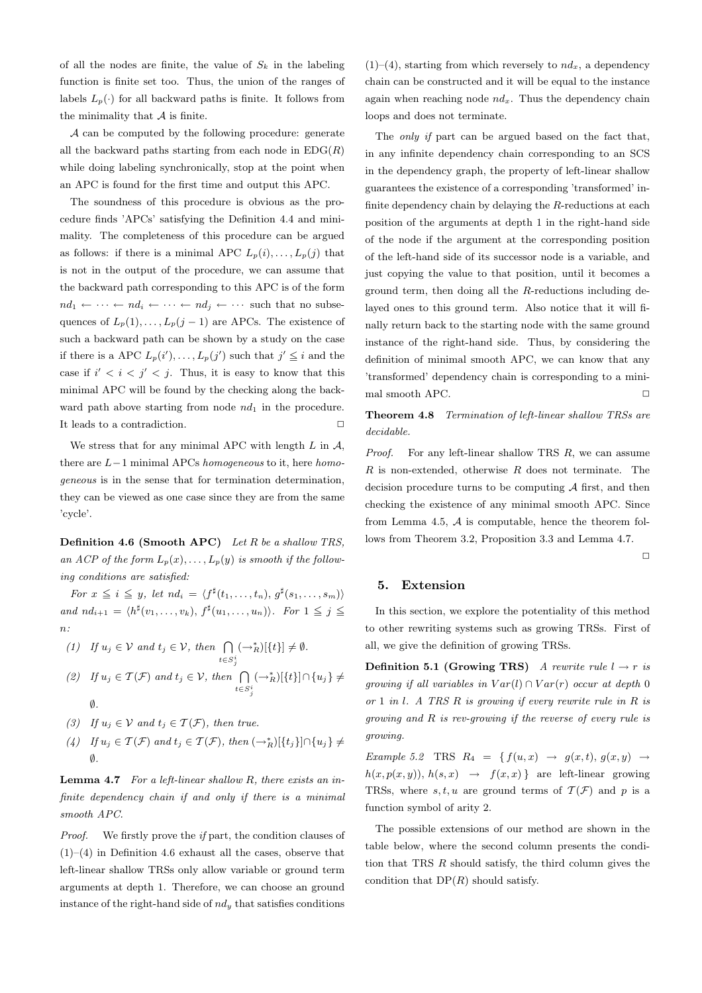of all the nodes are finite, the value of  $S_k$  in the labeling function is finite set too. Thus, the union of the ranges of labels  $L_p(\cdot)$  for all backward paths is finite. It follows from the minimality that  $A$  is finite.

A can be computed by the following procedure: generate all the backward paths starting from each node in  $EDG(R)$ while doing labeling synchronically, stop at the point when an APC is found for the first time and output this APC.

The soundness of this procedure is obvious as the procedure finds 'APCs' satisfying the Definition 4.4 and minimality. The completeness of this procedure can be argued as follows: if there is a minimal APC  $L_p(i), \ldots, L_p(j)$  that is not in the output of the procedure, we can assume that the backward path corresponding to this APC is of the form  $nd_1 \leftarrow \cdots \leftarrow nd_i \leftarrow \cdots \leftarrow nd_j \leftarrow \cdots$  such that no subsequences of  $L_p(1), \ldots, L_p(j-1)$  are APCs. The existence of such a backward path can be shown by a study on the case if there is a APC  $L_p(i'), \ldots, L_p(j')$  such that  $j' \leq i$  and the case if  $i' < i < j' < j$ . Thus, it is easy to know that this minimal APC will be found by the checking along the backward path above starting from node  $nd_1$  in the procedure. It leads to a contradiction.  $\Box$ 

We stress that for any minimal APC with length  $L$  in  $A$ , there are L−1 minimal APCs homogeneous to it, here homogeneous is in the sense that for termination determination, they can be viewed as one case since they are from the same 'cycle'.

**Definition 4.6 (Smooth APC)** Let  $R$  be a shallow TRS, an ACP of the form  $L_p(x), \ldots, L_p(y)$  is smooth if the following conditions are satisfied:

For  $x \leq i \leq y$ , let  $nd_i = \langle f^{\sharp}(t_1, \ldots, t_n), g^{\sharp}(s_1, \ldots, s_m) \rangle$ and  $nd_{i+1} = \langle h^{\sharp}(v_1, \ldots, v_k), f^{\sharp}(u_1, \ldots, u_n) \rangle$ . For  $1 \leq j \leq$  $n$ :

(1) If 
$$
u_j \in V
$$
 and  $t_j \in V$ , then  $\bigcap_{t \in S_j^i} (\rightarrow_R^*)[\{t\}] \neq \emptyset$ .

(2) If 
$$
u_j \in \mathcal{T}(\mathcal{F})
$$
 and  $t_j \in \mathcal{V}$ , then  $\bigcap_{t \in S_j^i} (\rightarrow_R^*)[\{t\}] \cap \{u_j\} \neq \emptyset$ .

- (3) If  $u_i \in V$  and  $t_i \in \mathcal{T}(\mathcal{F})$ , then true.
- (4) If  $u_j \in \mathcal{T}(\mathcal{F})$  and  $t_j \in \mathcal{T}(\mathcal{F})$ , then  $(\rightarrow_R^*)[\{t_j\}]\cap \{u_j\} \neq$ ∅.

**Lemma 4.7** For a left-linear shallow  $R$ , there exists an infinite dependency chain if and only if there is a minimal smooth APC.

Proof. We firstly prove the if part, the condition clauses of  $(1)$ – $(4)$  in Definition 4.6 exhaust all the cases, observe that left-linear shallow TRSs only allow variable or ground term arguments at depth 1. Therefore, we can choose an ground instance of the right-hand side of  $nd_y$  that satisfies conditions

 $(1)$ – $(4)$ , starting from which reversely to  $nd_x$ , a dependency chain can be constructed and it will be equal to the instance again when reaching node  $nd_x$ . Thus the dependency chain loops and does not terminate.

The only if part can be argued based on the fact that, in any infinite dependency chain corresponding to an SCS in the dependency graph, the property of left-linear shallow guarantees the existence of a corresponding 'transformed' infinite dependency chain by delaying the R-reductions at each position of the arguments at depth 1 in the right-hand side of the node if the argument at the corresponding position of the left-hand side of its successor node is a variable, and just copying the value to that position, until it becomes a ground term, then doing all the R-reductions including delayed ones to this ground term. Also notice that it will finally return back to the starting node with the same ground instance of the right-hand side. Thus, by considering the definition of minimal smooth APC, we can know that any 'transformed' dependency chain is corresponding to a minimal smooth APC.  $\hfill \square$ 

Theorem 4.8 Termination of left-linear shallow TRSs are decidable.

*Proof.* For any left-linear shallow TRS  $R$ , we can assume  $R$  is non-extended, otherwise  $R$  does not terminate. The decision procedure turns to be computing  $A$  first, and then checking the existence of any minimal smooth APC. Since from Lemma 4.5,  $A$  is computable, hence the theorem follows from Theorem 3.2, Proposition 3.3 and Lemma 4.7.

 $\Box$ 

#### 5. Extension

In this section, we explore the potentiality of this method to other rewriting systems such as growing TRSs. First of all, we give the definition of growing TRSs.

**Definition 5.1 (Growing TRS)** A rewrite rule  $l \rightarrow r$  is growing if all variables in  $Var(l) \cap Var(r)$  occur at depth 0 or 1 in l. A TRS R is growing if every rewrite rule in R is growing and R is rev-growing if the reverse of every rule is growing.

Example 5.2 TRS  $R_4 = \{ f(u, x) \rightarrow g(x, t), g(x, y) \rightarrow$  $h(x, p(x, y)), h(s, x) \rightarrow f(x, x)$  are left-linear growing TRSs, where  $s, t, u$  are ground terms of  $\mathcal{T}(\mathcal{F})$  and p is a function symbol of arity 2.

The possible extensions of our method are shown in the table below, where the second column presents the condition that TRS R should satisfy, the third column gives the condition that  $DP(R)$  should satisfy.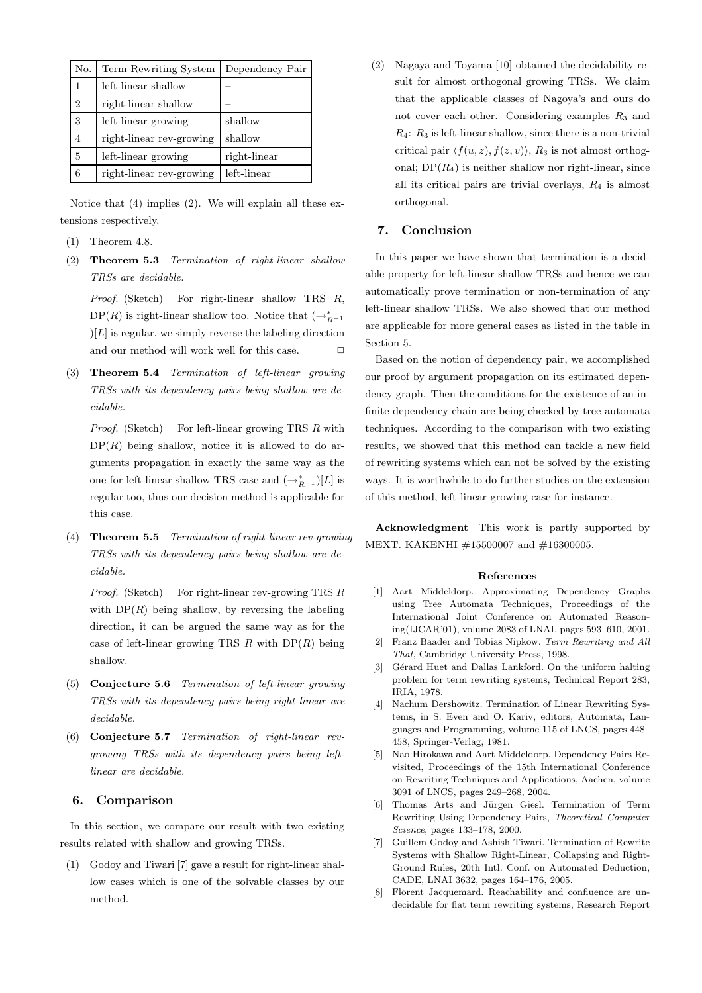| No. | Term Rewriting System    | Dependency Pair |
|-----|--------------------------|-----------------|
|     | left-linear shallow      |                 |
| 2   | right-linear shallow     |                 |
| 3   | left-linear growing      | shallow         |
| 4   | right-linear rev-growing | shallow         |
| 5   | left-linear growing      | right-linear    |
| 6   | right-linear rev-growing | left-linear     |

Notice that (4) implies (2). We will explain all these extensions respectively.

- (1) Theorem 4.8.
- (2) Theorem 5.3 Termination of right-linear shallow TRSs are decidable.

Proof. (Sketch) For right-linear shallow TRS R, DP(R) is right-linear shallow too. Notice that  $(\rightarrow_{R^{-1}}^*$  $|L|$  is regular, we simply reverse the labeling direction and our method will work well for this case.  $\Box$ 

(3) Theorem 5.4 Termination of left-linear growing TRSs with its dependency pairs being shallow are decidable.

Proof. (Sketch) For left-linear growing TRS R with  $DP(R)$  being shallow, notice it is allowed to do arguments propagation in exactly the same way as the one for left-linear shallow TRS case and  $(\rightarrow_{R^{-1}}^*)[L]$  is regular too, thus our decision method is applicable for this case.

(4) Theorem 5.5 Termination of right-linear rev-growing TRSs with its dependency pairs being shallow are decidable.

*Proof.* (Sketch) For right-linear rev-growing TRS  $R$ with  $DP(R)$  being shallow, by reversing the labeling direction, it can be argued the same way as for the case of left-linear growing TRS  $R$  with  $DP(R)$  being shallow.

- (5) Conjecture 5.6 Termination of left-linear growing TRSs with its dependency pairs being right-linear are decidable.
- (6) Conjecture 5.7 Termination of right-linear revgrowing TRSs with its dependency pairs being leftlinear are decidable.

## 6. Comparison

In this section, we compare our result with two existing results related with shallow and growing TRSs.

(1) Godoy and Tiwari [7] gave a result for right-linear shallow cases which is one of the solvable classes by our method.

(2) Nagaya and Toyama [10] obtained the decidability result for almost orthogonal growing TRSs. We claim that the applicable classes of Nagoya's and ours do not cover each other. Considering examples  $R_3$  and  $R_4$ :  $R_3$  is left-linear shallow, since there is a non-trivial critical pair  $\langle f(u, z), f(z, v) \rangle$ , R<sub>3</sub> is not almost orthogonal;  $DP(R_4)$  is neither shallow nor right-linear, since all its critical pairs are trivial overlays,  $R_4$  is almost orthogonal.

## 7. Conclusion

In this paper we have shown that termination is a decidable property for left-linear shallow TRSs and hence we can automatically prove termination or non-termination of any left-linear shallow TRSs. We also showed that our method are applicable for more general cases as listed in the table in Section 5.

Based on the notion of dependency pair, we accomplished our proof by argument propagation on its estimated dependency graph. Then the conditions for the existence of an infinite dependency chain are being checked by tree automata techniques. According to the comparison with two existing results, we showed that this method can tackle a new field of rewriting systems which can not be solved by the existing ways. It is worthwhile to do further studies on the extension of this method, left-linear growing case for instance.

Acknowledgment This work is partly supported by MEXT. KAKENHI #15500007 and #16300005.

#### References

- [1] Aart Middeldorp. Approximating Dependency Graphs using Tree Automata Techniques, Proceedings of the International Joint Conference on Automated Reasoning(IJCAR'01), volume 2083 of LNAI, pages 593–610, 2001.
- Franz Baader and Tobias Nipkow. Term Rewriting and All That, Cambridge University Press, 1998.
- [3] Gérard Huet and Dallas Lankford. On the uniform halting problem for term rewriting systems, Technical Report 283, IRIA, 1978.
- [4] Nachum Dershowitz. Termination of Linear Rewriting Systems, in S. Even and O. Kariv, editors, Automata, Languages and Programming, volume 115 of LNCS, pages 448– 458, Springer-Verlag, 1981.
- [5] Nao Hirokawa and Aart Middeldorp. Dependency Pairs Revisited, Proceedings of the 15th International Conference on Rewriting Techniques and Applications, Aachen, volume 3091 of LNCS, pages 249–268, 2004.
- [6] Thomas Arts and Jürgen Giesl. Termination of Term Rewriting Using Dependency Pairs, Theoretical Computer Science, pages 133–178, 2000.
- [7] Guillem Godoy and Ashish Tiwari. Termination of Rewrite Systems with Shallow Right-Linear, Collapsing and Right-Ground Rules, 20th Intl. Conf. on Automated Deduction, CADE, LNAI 3632, pages 164–176, 2005.
- Florent Jacquemard. Reachability and confluence are undecidable for flat term rewriting systems, Research Report